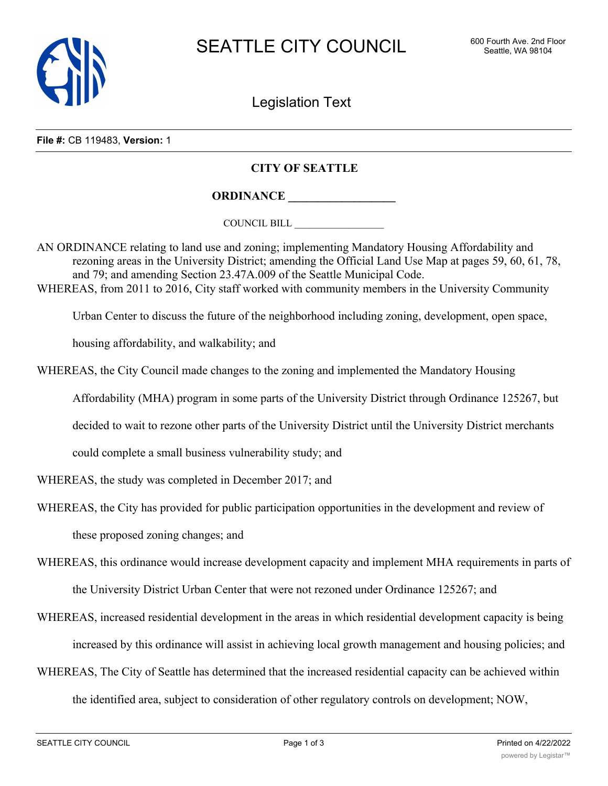

Legislation Text

**File #:** CB 119483, **Version:** 1

## **CITY OF SEATTLE**

**ORDINANCE \_\_\_\_\_\_\_\_\_\_\_\_\_\_\_\_\_\_**

COUNCIL BILL \_\_\_\_\_\_\_\_\_\_\_\_\_\_\_\_\_\_

AN ORDINANCE relating to land use and zoning; implementing Mandatory Housing Affordability and rezoning areas in the University District; amending the Official Land Use Map at pages 59, 60, 61, 78, and 79; and amending Section 23.47A.009 of the Seattle Municipal Code. WHEREAS, from 2011 to 2016, City staff worked with community members in the University Community

Urban Center to discuss the future of the neighborhood including zoning, development, open space,

housing affordability, and walkability; and

WHEREAS, the City Council made changes to the zoning and implemented the Mandatory Housing

Affordability (MHA) program in some parts of the University District through Ordinance 125267, but

decided to wait to rezone other parts of the University District until the University District merchants

could complete a small business vulnerability study; and

WHEREAS, the study was completed in December 2017; and

WHEREAS, the City has provided for public participation opportunities in the development and review of

these proposed zoning changes; and

WHEREAS, this ordinance would increase development capacity and implement MHA requirements in parts of

the University District Urban Center that were not rezoned under Ordinance 125267; and

WHEREAS, increased residential development in the areas in which residential development capacity is being

increased by this ordinance will assist in achieving local growth management and housing policies; and

WHEREAS, The City of Seattle has determined that the increased residential capacity can be achieved within the identified area, subject to consideration of other regulatory controls on development; NOW,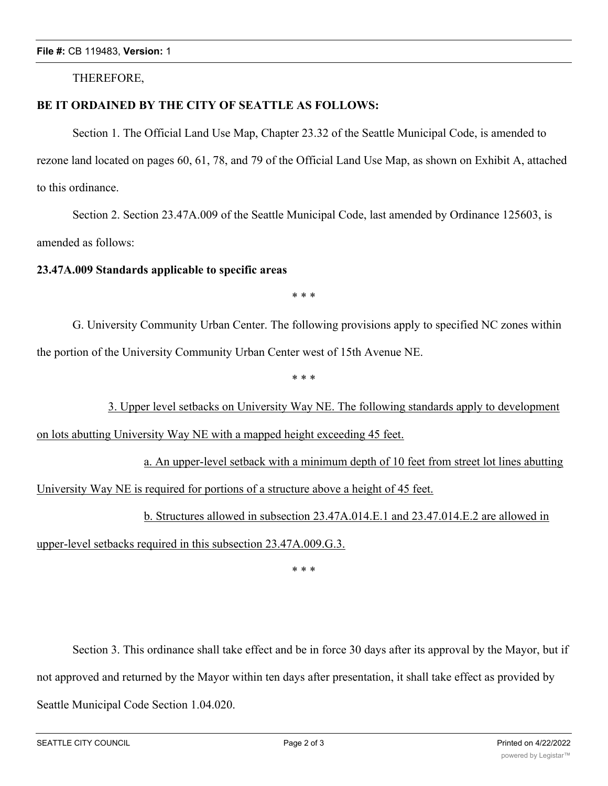THEREFORE,

## **BE IT ORDAINED BY THE CITY OF SEATTLE AS FOLLOWS:**

Section 1. The Official Land Use Map, Chapter 23.32 of the Seattle Municipal Code, is amended to rezone land located on pages 60, 61, 78, and 79 of the Official Land Use Map, as shown on Exhibit A, attached to this ordinance.

Section 2. Section 23.47A.009 of the Seattle Municipal Code, last amended by Ordinance 125603, is amended as follows:

## **23.47A.009 Standards applicable to specific areas**

\* \* \*

G. University Community Urban Center. The following provisions apply to specified NC zones within the portion of the University Community Urban Center west of 15th Avenue NE.

\* \* \*

3. Upper level setbacks on University Way NE. The following standards apply to development on lots abutting University Way NE with a mapped height exceeding 45 feet.

a. An upper-level setback with a minimum depth of 10 feet from street lot lines abutting University Way NE is required for portions of a structure above a height of 45 feet.

b. Structures allowed in subsection 23.47A.014.E.1 and 23.47.014.E.2 are allowed in

upper-level setbacks required in this subsection 23.47A.009.G.3.

\* \* \*

Section 3. This ordinance shall take effect and be in force 30 days after its approval by the Mayor, but if not approved and returned by the Mayor within ten days after presentation, it shall take effect as provided by Seattle Municipal Code Section 1.04.020.